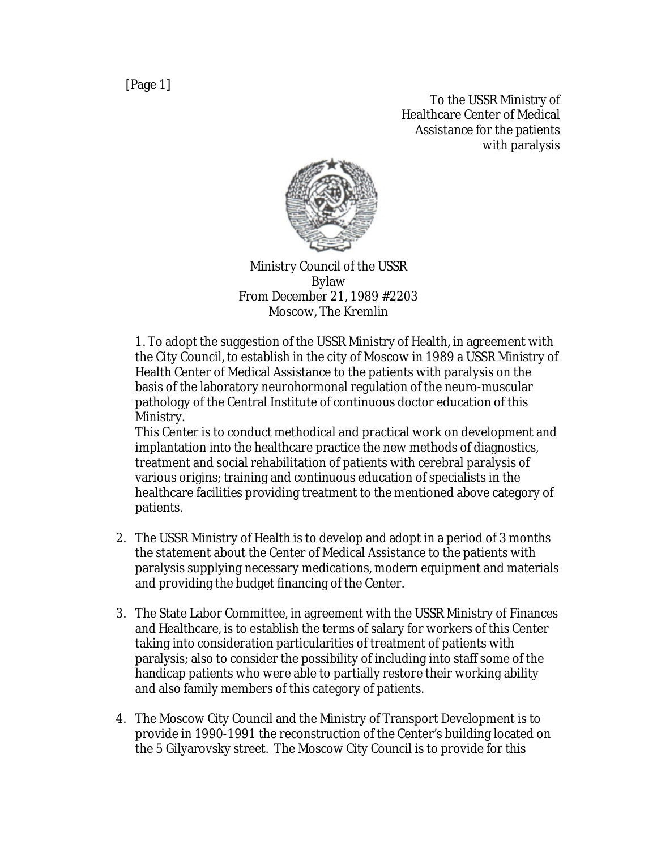To the USSR Ministry of Healthcare Center of Medical Assistance for the patients with paralysis



Ministry Council of the USSR Bylaw From December 21, 1989 #2203 Moscow, The Kremlin

1. To adopt the suggestion of the USSR Ministry of Health, in agreement with the City Council, to establish in the city of Moscow in 1989 a USSR Ministry of Health Center of Medical Assistance to the patients with paralysis on the basis of the laboratory neurohormonal regulation of the neuro-muscular pathology of the Central Institute of continuous doctor education of this Ministry.

This Center is to conduct methodical and practical work on development and implantation into the healthcare practice the new methods of diagnostics, treatment and social rehabilitation of patients with cerebral paralysis of various origins; training and continuous education of specialists in the healthcare facilities providing treatment to the mentioned above category of patients.

- 2. The USSR Ministry of Health is to develop and adopt in a period of 3 months the statement about the Center of Medical Assistance to the patients with paralysis supplying necessary medications, modern equipment and materials and providing the budget financing of the Center.
- 3. The State Labor Committee, in agreement with the USSR Ministry of Finances and Healthcare, is to establish the terms of salary for workers of this Center taking into consideration particularities of treatment of patients with paralysis; also to consider the possibility of including into staff some of the handicap patients who were able to partially restore their working ability and also family members of this category of patients.
- 4. The Moscow City Council and the Ministry of Transport Development is to provide in 1990-1991 the reconstruction of the Center's building located on the 5 Gilyarovsky street. The Moscow City Council is to provide for this

[Page 1]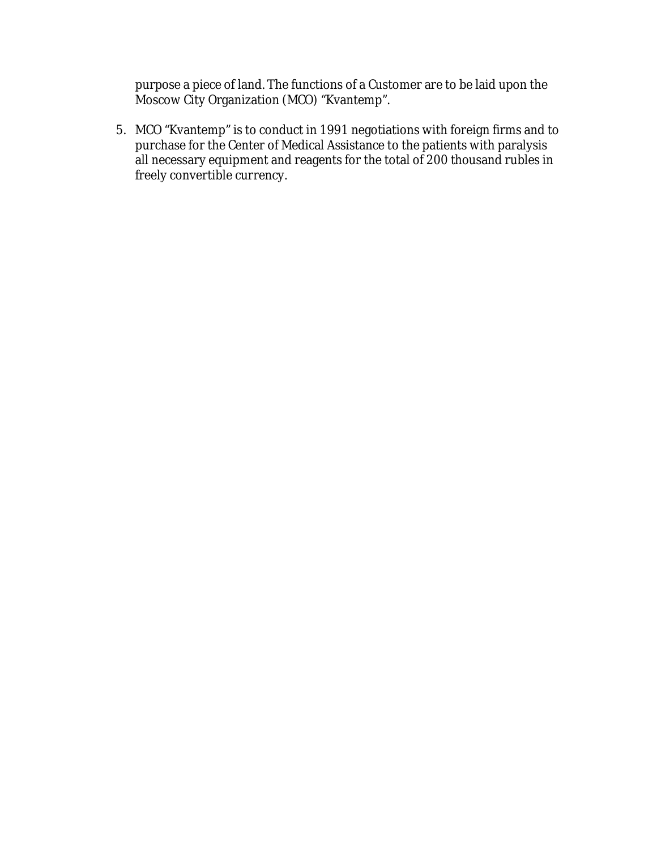purpose a piece of land. The functions of a Customer are to be laid upon the Moscow City Organization (MCO) "Kvantemp".

5. MCO "Kvantemp" is to conduct in 1991 negotiations with foreign firms and to purchase for the Center of Medical Assistance to the patients with paralysis all necessary equipment and reagents for the total of 200 thousand rubles in freely convertible currency.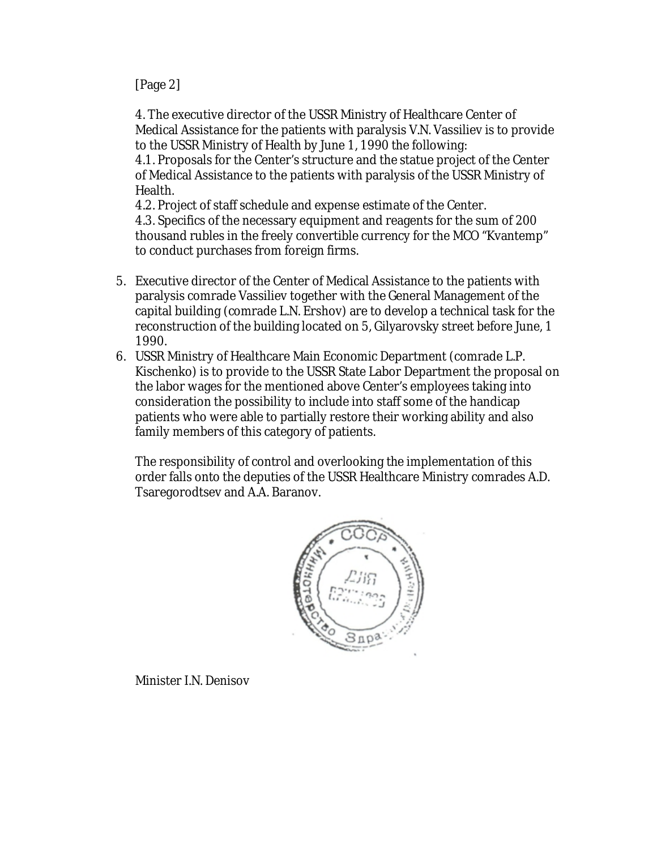## [Page 2]

4. The executive director of the USSR Ministry of Healthcare Center of Medical Assistance for the patients with paralysis V.N. Vassiliev is to provide to the USSR Ministry of Health by June 1, 1990 the following: 4.1. Proposals for the Center's structure and the statue project of the Center of Medical Assistance to the patients with paralysis of the USSR Ministry of Health.

4.2. Project of staff schedule and expense estimate of the Center. 4.3. Specifics of the necessary equipment and reagents for the sum of 200 thousand rubles in the freely convertible currency for the MCO "Kvantemp" to conduct purchases from foreign firms.

- 5. Executive director of the Center of Medical Assistance to the patients with paralysis comrade Vassiliev together with the General Management of the capital building (comrade L.N. Ershov) are to develop a technical task for the reconstruction of the building located on 5, Gilyarovsky street before June, 1 1990.
- 6. USSR Ministry of Healthcare Main Economic Department (comrade L.P. Kischenko) is to provide to the USSR State Labor Department the proposal on the labor wages for the mentioned above Center's employees taking into consideration the possibility to include into staff some of the handicap patients who were able to partially restore their working ability and also family members of this category of patients.

The responsibility of control and overlooking the implementation of this order falls onto the deputies of the USSR Healthcare Ministry comrades A.D. Tsaregorodtsev and A.A. Baranov.



Minister I.N. Denisov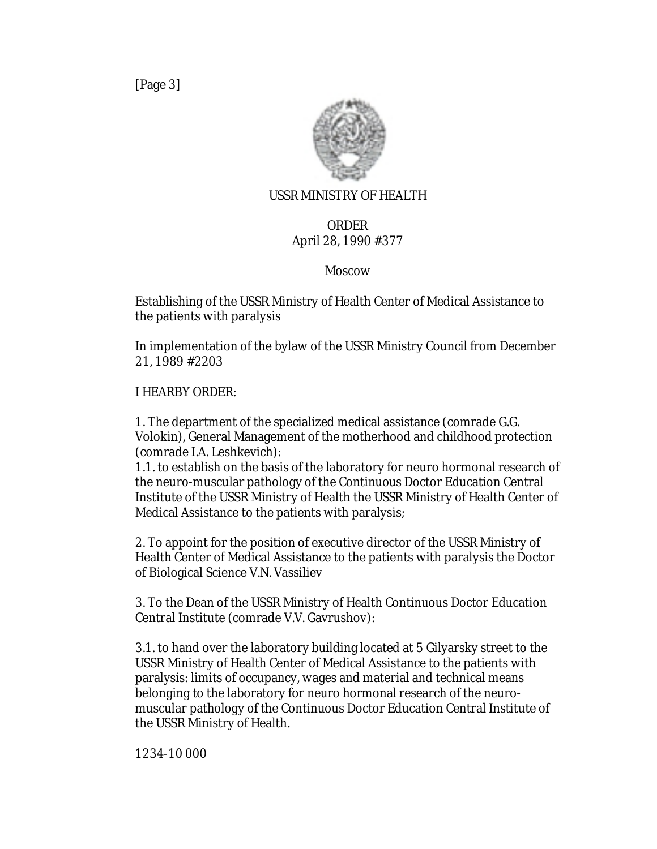[Page 3]



## USSR MINISTRY OF HEALTH

## ORDER April 28, 1990 #377

## Moscow

Establishing of the USSR Ministry of Health Center of Medical Assistance to the patients with paralysis

In implementation of the bylaw of the USSR Ministry Council from December 21, 1989 #2203

I HEARBY ORDER:

1. The department of the specialized medical assistance (comrade G.G. Volokin), General Management of the motherhood and childhood protection (comrade I.A. Leshkevich):

1.1. to establish on the basis of the laboratory for neuro hormonal research of the neuro-muscular pathology of the Continuous Doctor Education Central Institute of the USSR Ministry of Health the USSR Ministry of Health Center of Medical Assistance to the patients with paralysis;

2. To appoint for the position of executive director of the USSR Ministry of Health Center of Medical Assistance to the patients with paralysis the Doctor of Biological Science V.N. Vassiliev

3. To the Dean of the USSR Ministry of Health Continuous Doctor Education Central Institute (comrade V.V. Gavrushov):

3.1. to hand over the laboratory building located at 5 Gilyarsky street to the USSR Ministry of Health Center of Medical Assistance to the patients with paralysis: limits of occupancy, wages and material and technical means belonging to the laboratory for neuro hormonal research of the neuromuscular pathology of the Continuous Doctor Education Central Institute of the USSR Ministry of Health.

1234-10 000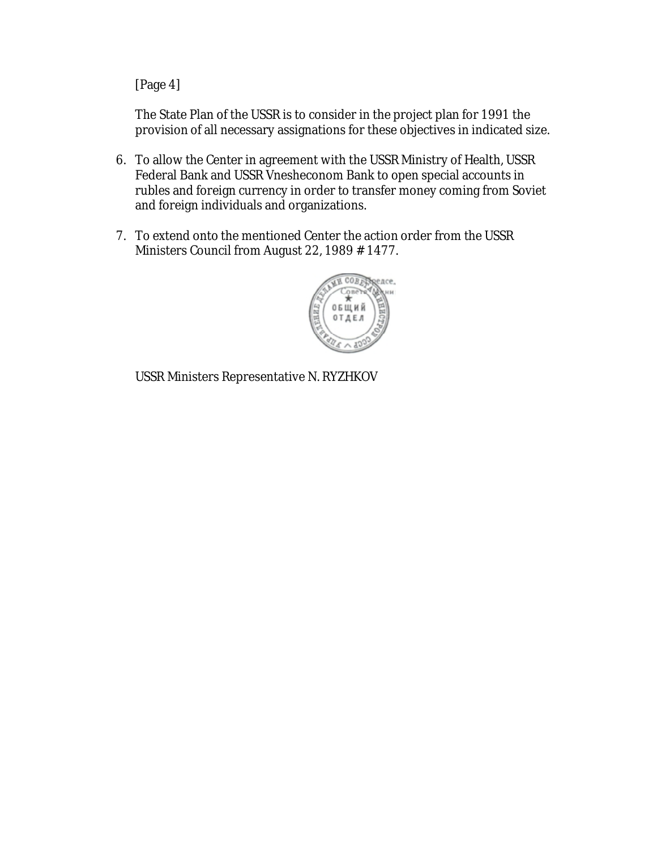[Page 4]

The State Plan of the USSR is to consider in the project plan for 1991 the provision of all necessary assignations for these objectives in indicated size.

- 6. To allow the Center in agreement with the USSR Ministry of Health, USSR Federal Bank and USSR Vnesheconom Bank to open special accounts in rubles and foreign currency in order to transfer money coming from Soviet and foreign individuals and organizations.
- 7. To extend onto the mentioned Center the action order from the USSR Ministers Council from August 22, 1989 # 1477.

![](_page_5_Picture_4.jpeg)

USSR Ministers Representative N. RYZHKOV